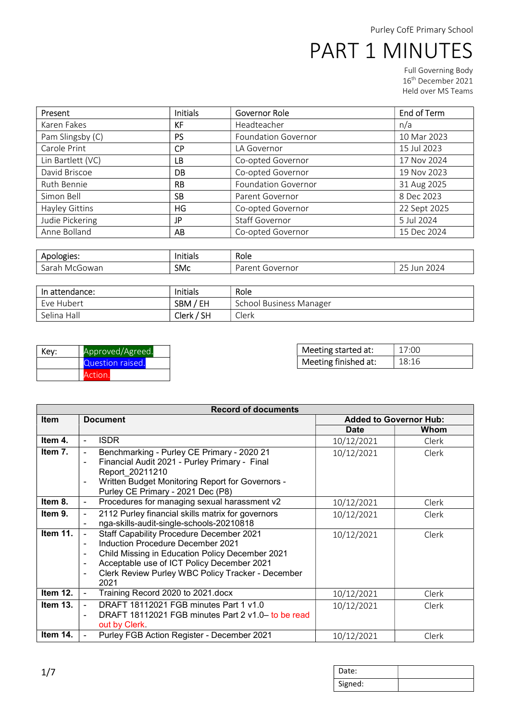Full Governing Body 16th December 2021 Held over MS Teams

| Present           | <b>Initials</b> | Governor Role              | End of Term  |
|-------------------|-----------------|----------------------------|--------------|
| Karen Fakes       | KF              | Headteacher                | n/a          |
| Pam Slingsby (C)  | <b>PS</b>       | <b>Foundation Governor</b> | 10 Mar 2023  |
| Carole Print      | <b>CP</b>       | LA Governor                | 15 Jul 2023  |
| Lin Bartlett (VC) | LB              | Co-opted Governor          | 17 Nov 2024  |
| David Briscoe     | DB              | Co-opted Governor          | 19 Nov 2023  |
| Ruth Bennie       | <b>RB</b>       | <b>Foundation Governor</b> | 31 Aug 2025  |
| Simon Bell        | <b>SB</b>       | Parent Governor            | 8 Dec 2023   |
| Hayley Gittins    | HG              | Co-opted Governor          | 22 Sept 2025 |
| Judie Pickering   | JP              | <b>Staff Governor</b>      | 5 Jul 2024   |
| Anne Bolland      | AB              | Co-opted Governor          | 15 Dec 2024  |

| Apologies: | .<br>Initials | Role       |            |
|------------|---------------|------------|------------|
| $\sim$     | <b>SMc</b>    | -          | 2024       |
| . Mr′      |               | . Governor | $\sim$ $-$ |
| Sarah      |               | Unram      | jur        |
| cGowan     |               | a          | <u>_ _</u> |

| In attendance: | <b>Initials</b> | Role                    |
|----------------|-----------------|-------------------------|
| Eve Hubert     | SBM / EH        | School Business Manager |
| Selina Hall    | Clerk / SH      | Clerk                   |

| Key: | Approved/Agreed. |  |  |
|------|------------------|--|--|
|      | Question raised. |  |  |
|      | Action.          |  |  |

| Meeting started at:  | 17:00 |
|----------------------|-------|
| Meeting finished at: | 18.16 |

| <b>Record of documents</b> |                                                                                                                                                                                                                                                                                                                                                        |             |                               |  |
|----------------------------|--------------------------------------------------------------------------------------------------------------------------------------------------------------------------------------------------------------------------------------------------------------------------------------------------------------------------------------------------------|-------------|-------------------------------|--|
| <b>Item</b>                | <b>Document</b>                                                                                                                                                                                                                                                                                                                                        |             | <b>Added to Governor Hub:</b> |  |
|                            |                                                                                                                                                                                                                                                                                                                                                        | <b>Date</b> | Whom                          |  |
| Item 4.                    | <b>ISDR</b><br>$\blacksquare$                                                                                                                                                                                                                                                                                                                          | 10/12/2021  | Clerk                         |  |
| Item 7.                    | Benchmarking - Purley CE Primary - 2020 21<br>$\blacksquare$<br>Financial Audit 2021 - Purley Primary - Final<br>$\blacksquare$<br>Report 20211210<br>Written Budget Monitoring Report for Governors -<br>$\blacksquare$<br>Purley CE Primary - 2021 Dec (P8)                                                                                          | 10/12/2021  | Clerk                         |  |
| Item 8.                    | Procedures for managing sexual harassment v2<br>$\blacksquare$                                                                                                                                                                                                                                                                                         | 10/12/2021  | Clerk                         |  |
| Item 9.                    | 2112 Purley financial skills matrix for governors<br>$\overline{\phantom{a}}$<br>nga-skills-audit-single-schools-20210818                                                                                                                                                                                                                              | 10/12/2021  | Clerk                         |  |
| <b>Item 11.</b>            | <b>Staff Capability Procedure December 2021</b><br>$\overline{\phantom{a}}$<br>Induction Procedure December 2021<br>$\blacksquare$<br>Child Missing in Education Policy December 2021<br>$\blacksquare$<br>Acceptable use of ICT Policy December 2021<br>$\blacksquare$<br>Clerk Review Purley WBC Policy Tracker - December<br>$\blacksquare$<br>2021 | 10/12/2021  | Clerk                         |  |
| Item 12.                   | Training Record 2020 to 2021.docx<br>$\blacksquare$                                                                                                                                                                                                                                                                                                    | 10/12/2021  | Clerk                         |  |
| Item 13.                   | DRAFT 18112021 FGB minutes Part 1 y1.0<br>$\blacksquare$<br>DRAFT 18112021 FGB minutes Part 2 v1.0- to be read<br>$\blacksquare$<br>out by Clerk.                                                                                                                                                                                                      | 10/12/2021  | Clerk                         |  |
| Item 14.                   | Purley FGB Action Register - December 2021<br>$\blacksquare$                                                                                                                                                                                                                                                                                           | 10/12/2021  | Clerk                         |  |

| Date:   |  |
|---------|--|
| Signed: |  |

 $\begin{bmatrix} \phantom{-} \end{bmatrix}$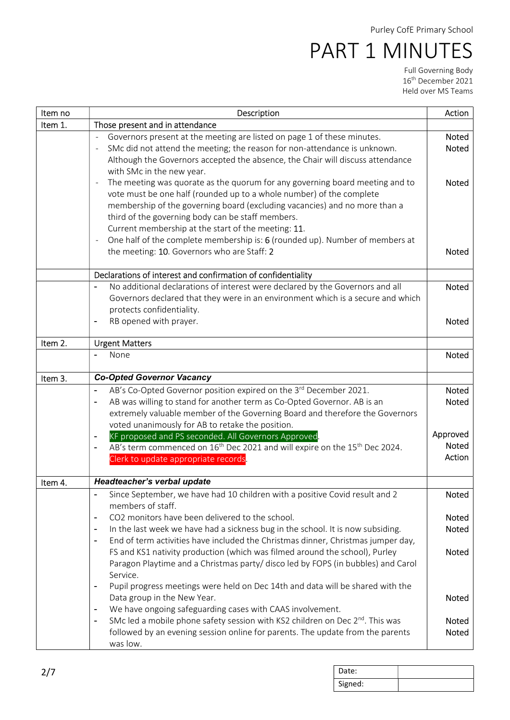| Action                                                                                                                                                                       |
|------------------------------------------------------------------------------------------------------------------------------------------------------------------------------|
|                                                                                                                                                                              |
| Governors present at the meeting are listed on page 1 of these minutes.<br>Noted                                                                                             |
| SMc did not attend the meeting; the reason for non-attendance is unknown.<br><b>Noted</b>                                                                                    |
| Although the Governors accepted the absence, the Chair will discuss attendance                                                                                               |
|                                                                                                                                                                              |
| The meeting was quorate as the quorum for any governing board meeting and to<br>Noted                                                                                        |
| vote must be one half (rounded up to a whole number) of the complete                                                                                                         |
| membership of the governing board (excluding vacancies) and no more than a                                                                                                   |
|                                                                                                                                                                              |
|                                                                                                                                                                              |
| One half of the complete membership is: 6 (rounded up). Number of members at                                                                                                 |
| Noted                                                                                                                                                                        |
|                                                                                                                                                                              |
|                                                                                                                                                                              |
| No additional declarations of interest were declared by the Governors and all<br>Noted                                                                                       |
| Governors declared that they were in an environment which is a secure and which                                                                                              |
| Noted                                                                                                                                                                        |
|                                                                                                                                                                              |
|                                                                                                                                                                              |
| Noted                                                                                                                                                                        |
|                                                                                                                                                                              |
|                                                                                                                                                                              |
| AB's Co-Opted Governor position expired on the 3rd December 2021.<br><b>Noted</b>                                                                                            |
| AB was willing to stand for another term as Co-Opted Governor. AB is an<br>Noted                                                                                             |
| extremely valuable member of the Governing Board and therefore the Governors                                                                                                 |
|                                                                                                                                                                              |
| Approved                                                                                                                                                                     |
| Noted<br>AB's term commenced on 16 <sup>th</sup> Dec 2021 and will expire on the 15 <sup>th</sup> Dec 2024.                                                                  |
| Action                                                                                                                                                                       |
|                                                                                                                                                                              |
|                                                                                                                                                                              |
| Since September, we have had 10 children with a positive Covid result and 2<br>Noted                                                                                         |
|                                                                                                                                                                              |
| Noted                                                                                                                                                                        |
| In the last week we have had a sickness bug in the school. It is now subsiding.<br>Noted<br>End of term activities have included the Christmas dinner, Christmas jumper day, |
| FS and KS1 nativity production (which was filmed around the school), Purley<br><b>Noted</b>                                                                                  |
|                                                                                                                                                                              |
| Paragon Playtime and a Christmas party/ disco led by FOPS (in bubbles) and Carol                                                                                             |
| Pupil progress meetings were held on Dec 14th and data will be shared with the                                                                                               |
| Noted                                                                                                                                                                        |
|                                                                                                                                                                              |
| SMc led a mobile phone safety session with KS2 children on Dec $2^{nd}$ . This was<br>Noted                                                                                  |
| followed by an evening session online for parents. The update from the parents<br>Noted                                                                                      |
|                                                                                                                                                                              |
|                                                                                                                                                                              |

| Date:   |  |
|---------|--|
| Signed: |  |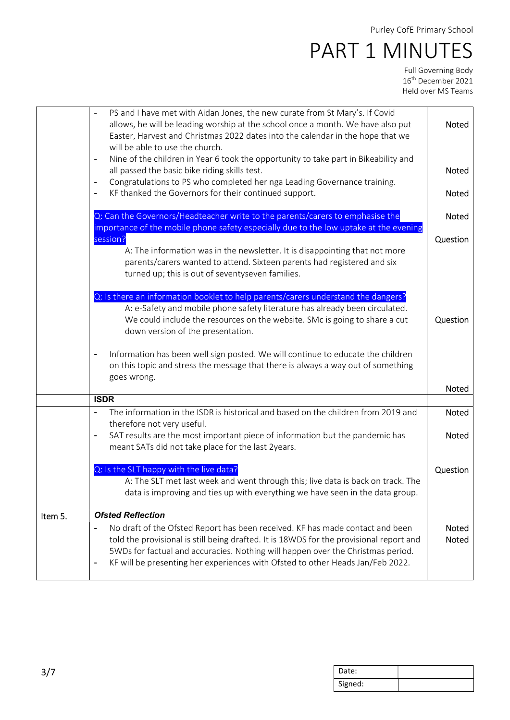|         | PS and I have met with Aidan Jones, the new curate from St Mary's. If Covid                           |              |
|---------|-------------------------------------------------------------------------------------------------------|--------------|
|         | allows, he will be leading worship at the school once a month. We have also put                       | Noted        |
|         | Easter, Harvest and Christmas 2022 dates into the calendar in the hope that we                        |              |
|         |                                                                                                       |              |
|         | will be able to use the church.                                                                       |              |
|         | Nine of the children in Year 6 took the opportunity to take part in Bikeability and<br>$\blacksquare$ |              |
|         | all passed the basic bike riding skills test.                                                         | Noted        |
|         | Congratulations to PS who completed her nga Leading Governance training.<br>$\overline{\phantom{a}}$  |              |
|         |                                                                                                       |              |
|         | KF thanked the Governors for their continued support.<br>$\blacksquare$                               | Noted        |
|         |                                                                                                       |              |
|         | Q: Can the Governors/Headteacher write to the parents/carers to emphasise the                         | Noted        |
|         | importance of the mobile phone safety especially due to the low uptake at the evening                 |              |
|         | session?                                                                                              | Question     |
|         |                                                                                                       |              |
|         | A: The information was in the newsletter. It is disappointing that not more                           |              |
|         | parents/carers wanted to attend. Sixteen parents had registered and six                               |              |
|         | turned up; this is out of seventyseven families.                                                      |              |
|         |                                                                                                       |              |
|         | Q: Is there an information booklet to help parents/carers understand the dangers?                     |              |
|         |                                                                                                       |              |
|         | A: e-Safety and mobile phone safety literature has already been circulated.                           |              |
|         | We could include the resources on the website. SMc is going to share a cut                            | Question     |
|         | down version of the presentation.                                                                     |              |
|         |                                                                                                       |              |
|         | Information has been well sign posted. We will continue to educate the children                       |              |
|         | $\blacksquare$                                                                                        |              |
|         | on this topic and stress the message that there is always a way out of something                      |              |
|         | goes wrong.                                                                                           |              |
|         |                                                                                                       | Noted        |
|         | <b>ISDR</b>                                                                                           |              |
|         | The information in the ISDR is historical and based on the children from 2019 and                     | <b>Noted</b> |
|         |                                                                                                       |              |
|         | therefore not very useful.                                                                            |              |
|         | SAT results are the most important piece of information but the pandemic has<br>$\blacksquare$        | Noted        |
|         | meant SATs did not take place for the last 2years.                                                    |              |
|         |                                                                                                       |              |
|         | Q: Is the SLT happy with the live data?                                                               | Question     |
|         |                                                                                                       |              |
|         | A: The SLT met last week and went through this; live data is back on track. The                       |              |
|         | data is improving and ties up with everything we have seen in the data group.                         |              |
|         |                                                                                                       |              |
| Item 5. | <b>Ofsted Reflection</b>                                                                              |              |
|         |                                                                                                       |              |
|         | No draft of the Ofsted Report has been received. KF has made contact and been                         | <b>Noted</b> |
|         | told the provisional is still being drafted. It is 18WDS for the provisional report and               | Noted        |
|         | 5WDs for factual and accuracies. Nothing will happen over the Christmas period.                       |              |
|         | KF will be presenting her experiences with Ofsted to other Heads Jan/Feb 2022.<br>٠                   |              |
|         |                                                                                                       |              |
|         |                                                                                                       |              |

| Date:   |  |
|---------|--|
| Signed: |  |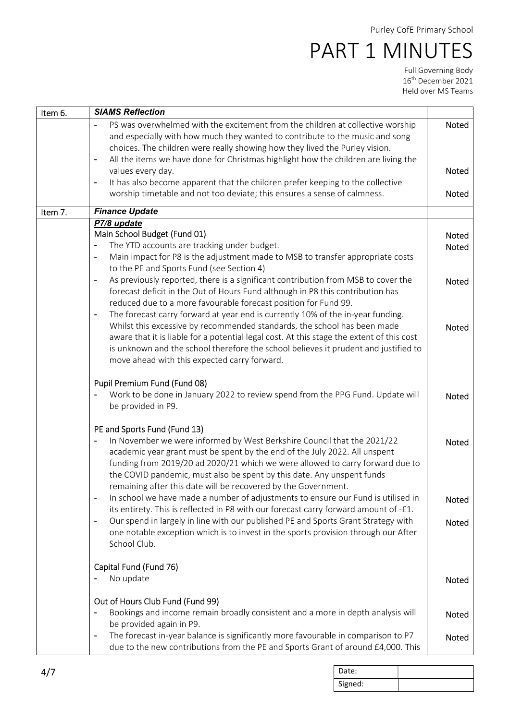| Item 6. | <b>SIAMS Reflection</b>                                                                                                                                                                         |              |
|---------|-------------------------------------------------------------------------------------------------------------------------------------------------------------------------------------------------|--------------|
|         | PS was overwhelmed with the excitement from the children at collective worship                                                                                                                  | Noted        |
|         | and especially with how much they wanted to contribute to the music and song                                                                                                                    |              |
|         | choices. The children were really showing how they lived the Purley vision.                                                                                                                     |              |
|         | All the items we have done for Christmas highlight how the children are living the<br>$\blacksquare$                                                                                            |              |
|         | values every day.                                                                                                                                                                               | Noted        |
|         | It has also become apparent that the children prefer keeping to the collective<br>$\blacksquare$                                                                                                |              |
|         | worship timetable and not too deviate; this ensures a sense of calmness.                                                                                                                        | Noted        |
| Item 7. | <b>Finance Update</b>                                                                                                                                                                           |              |
|         | P7/8 update                                                                                                                                                                                     |              |
|         | Main School Budget (Fund 01)                                                                                                                                                                    | Noted        |
|         | The YTD accounts are tracking under budget.<br>$\blacksquare$                                                                                                                                   | Noted        |
|         | Main impact for P8 is the adjustment made to MSB to transfer appropriate costs<br>$\blacksquare$                                                                                                |              |
|         | to the PE and Sports Fund (see Section 4)                                                                                                                                                       |              |
|         | As previously reported, there is a significant contribution from MSB to cover the<br>$\overline{\phantom{a}}$<br>forecast deficit in the Out of Hours Fund although in P8 this contribution has | Noted        |
|         | reduced due to a more favourable forecast position for Fund 99.                                                                                                                                 |              |
|         | The forecast carry forward at year end is currently 10% of the in-year funding.<br>$\blacksquare$                                                                                               |              |
|         | Whilst this excessive by recommended standards, the school has been made                                                                                                                        |              |
|         | aware that it is liable for a potential legal cost. At this stage the extent of this cost                                                                                                       | <b>Noted</b> |
|         | is unknown and the school therefore the school believes it prudent and justified to                                                                                                             |              |
|         | move ahead with this expected carry forward.                                                                                                                                                    |              |
|         |                                                                                                                                                                                                 |              |
|         | Pupil Premium Fund (Fund 08)                                                                                                                                                                    |              |
|         | Work to be done in January 2022 to review spend from the PPG Fund. Update will                                                                                                                  | <b>Noted</b> |
|         | be provided in P9.                                                                                                                                                                              |              |
|         |                                                                                                                                                                                                 |              |
|         | PE and Sports Fund (Fund 13)                                                                                                                                                                    |              |
|         | In November we were informed by West Berkshire Council that the 2021/22<br>$\blacksquare$                                                                                                       | Noted        |
|         | academic year grant must be spent by the end of the July 2022. All unspent                                                                                                                      |              |
|         | funding from 2019/20 ad 2020/21 which we were allowed to carry forward due to                                                                                                                   |              |
|         | the COVID pandemic, must also be spent by this date. Any unspent funds                                                                                                                          |              |
|         | remaining after this date will be recovered by the Government.<br>In school we have made a number of adjustments to ensure our Fund is utilised in                                              |              |
|         | $\blacksquare$<br>its entirety. This is reflected in P8 with our forecast carry forward amount of -£1.                                                                                          | Noted        |
|         | Our spend in largely in line with our published PE and Sports Grant Strategy with                                                                                                               | Noted        |
|         | one notable exception which is to invest in the sports provision through our After                                                                                                              |              |
|         | School Club.                                                                                                                                                                                    |              |
|         |                                                                                                                                                                                                 |              |
|         | Capital Fund (Fund 76)                                                                                                                                                                          |              |
|         | No update                                                                                                                                                                                       | Noted        |
|         |                                                                                                                                                                                                 |              |
|         | Out of Hours Club Fund (Fund 99)                                                                                                                                                                |              |
|         | Bookings and income remain broadly consistent and a more in depth analysis will                                                                                                                 | Noted        |
|         | be provided again in P9.                                                                                                                                                                        |              |
|         | The forecast in-year balance is significantly more favourable in comparison to P7<br>$\blacksquare$                                                                                             | Noted        |
|         | due to the new contributions from the PE and Sports Grant of around £4,000. This                                                                                                                |              |

| Date:   |  |
|---------|--|
| Signed: |  |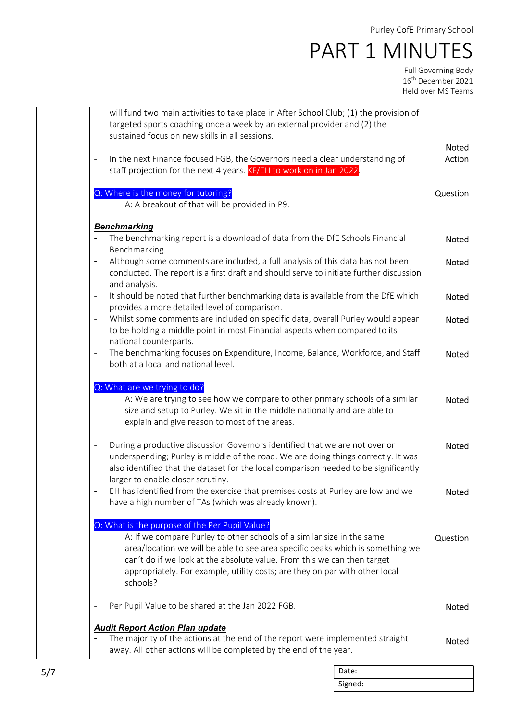| will fund two main activities to take place in After School Club; (1) the provision of<br>targeted sports coaching once a week by an external provider and (2) the                                                                                                                                                                                                               |              |
|----------------------------------------------------------------------------------------------------------------------------------------------------------------------------------------------------------------------------------------------------------------------------------------------------------------------------------------------------------------------------------|--------------|
| sustained focus on new skills in all sessions.                                                                                                                                                                                                                                                                                                                                   | <b>Noted</b> |
| In the next Finance focused FGB, the Governors need a clear understanding of<br>۰<br>staff projection for the next 4 years. KF/EH to work on in Jan 2022.                                                                                                                                                                                                                        | Action       |
| Q: Where is the money for tutoring?<br>A: A breakout of that will be provided in P9.                                                                                                                                                                                                                                                                                             | Question     |
|                                                                                                                                                                                                                                                                                                                                                                                  |              |
| <b>Benchmarking</b><br>The benchmarking report is a download of data from the DfE Schools Financial<br>Benchmarking.                                                                                                                                                                                                                                                             | <b>Noted</b> |
| Although some comments are included, a full analysis of this data has not been<br>٠<br>conducted. The report is a first draft and should serve to initiate further discussion<br>and analysis.                                                                                                                                                                                   | Noted        |
| It should be noted that further benchmarking data is available from the DfE which<br>$\overline{\phantom{0}}$<br>provides a more detailed level of comparison.                                                                                                                                                                                                                   | Noted        |
| Whilst some comments are included on specific data, overall Purley would appear<br>$\overline{\phantom{0}}$<br>to be holding a middle point in most Financial aspects when compared to its                                                                                                                                                                                       | Noted        |
| national counterparts.<br>The benchmarking focuses on Expenditure, Income, Balance, Workforce, and Staff<br>$\blacksquare$<br>both at a local and national level.                                                                                                                                                                                                                | Noted        |
| Q: What are we trying to do?<br>A: We are trying to see how we compare to other primary schools of a similar<br>size and setup to Purley. We sit in the middle nationally and are able to<br>explain and give reason to most of the areas.                                                                                                                                       | Noted        |
| During a productive discussion Governors identified that we are not over or<br>$\overline{a}$<br>underspending; Purley is middle of the road. We are doing things correctly. It was<br>also identified that the dataset for the local comparison needed to be significantly                                                                                                      | <b>Noted</b> |
| larger to enable closer scrutiny.<br>EH has identified from the exercise that premises costs at Purley are low and we<br>have a high number of TAs (which was already known).                                                                                                                                                                                                    | Noted        |
| Q: What is the purpose of the Per Pupil Value?<br>A: If we compare Purley to other schools of a similar size in the same<br>area/location we will be able to see area specific peaks which is something we<br>can't do if we look at the absolute value. From this we can then target<br>appropriately. For example, utility costs; are they on par with other local<br>schools? | Question     |
| Per Pupil Value to be shared at the Jan 2022 FGB.                                                                                                                                                                                                                                                                                                                                | Noted        |
| <b>Audit Report Action Plan update</b><br>The majority of the actions at the end of the report were implemented straight<br>away. All other actions will be completed by the end of the year.                                                                                                                                                                                    | <b>Noted</b> |

| Date:   |  |
|---------|--|
| Signed: |  |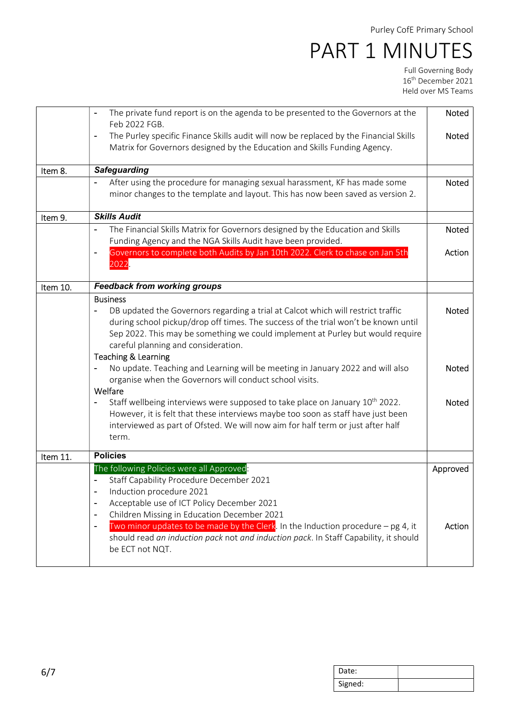|          | The private fund report is on the agenda to be presented to the Governors at the<br>$\blacksquare$<br>Feb 2022 FGB.                                                                                                                                                                                                                                                                                                                                                                                                                                                                                                                                                                                                                                                                                                      | <b>Noted</b>                          |
|----------|--------------------------------------------------------------------------------------------------------------------------------------------------------------------------------------------------------------------------------------------------------------------------------------------------------------------------------------------------------------------------------------------------------------------------------------------------------------------------------------------------------------------------------------------------------------------------------------------------------------------------------------------------------------------------------------------------------------------------------------------------------------------------------------------------------------------------|---------------------------------------|
|          | The Purley specific Finance Skills audit will now be replaced by the Financial Skills<br>$\blacksquare$<br>Matrix for Governors designed by the Education and Skills Funding Agency.                                                                                                                                                                                                                                                                                                                                                                                                                                                                                                                                                                                                                                     | Noted                                 |
| Item 8.  | <b>Safeguarding</b>                                                                                                                                                                                                                                                                                                                                                                                                                                                                                                                                                                                                                                                                                                                                                                                                      |                                       |
|          | After using the procedure for managing sexual harassment, KF has made some<br>minor changes to the template and layout. This has now been saved as version 2.                                                                                                                                                                                                                                                                                                                                                                                                                                                                                                                                                                                                                                                            | Noted                                 |
| Item 9.  | <b>Skills Audit</b>                                                                                                                                                                                                                                                                                                                                                                                                                                                                                                                                                                                                                                                                                                                                                                                                      |                                       |
|          | The Financial Skills Matrix for Governors designed by the Education and Skills<br>$\blacksquare$<br>Funding Agency and the NGA Skills Audit have been provided.                                                                                                                                                                                                                                                                                                                                                                                                                                                                                                                                                                                                                                                          | Noted                                 |
|          | Governors to complete both Audits by Jan 10th 2022. Clerk to chase on Jan 5th<br>$\overline{a}$<br>2022                                                                                                                                                                                                                                                                                                                                                                                                                                                                                                                                                                                                                                                                                                                  | Action                                |
| Item 10. | <b>Feedback from working groups</b>                                                                                                                                                                                                                                                                                                                                                                                                                                                                                                                                                                                                                                                                                                                                                                                      |                                       |
|          | <b>Business</b><br>DB updated the Governors regarding a trial at Calcot which will restrict traffic<br>$\qquad \qquad \blacksquare$<br>during school pickup/drop off times. The success of the trial won't be known until<br>Sep 2022. This may be something we could implement at Purley but would require<br>careful planning and consideration.<br><b>Teaching &amp; Learning</b><br>No update. Teaching and Learning will be meeting in January 2022 and will also<br>organise when the Governors will conduct school visits.<br>Welfare<br>Staff wellbeing interviews were supposed to take place on January 10 <sup>th</sup> 2022.<br>However, it is felt that these interviews maybe too soon as staff have just been<br>interviewed as part of Ofsted. We will now aim for half term or just after half<br>term. | Noted<br><b>Noted</b><br><b>Noted</b> |
| Item 11. | <b>Policies</b>                                                                                                                                                                                                                                                                                                                                                                                                                                                                                                                                                                                                                                                                                                                                                                                                          |                                       |
|          | The following Policies were all Approved:<br>Staff Capability Procedure December 2021<br>Induction procedure 2021<br>Acceptable use of ICT Policy December 2021<br>$\blacksquare$<br>Children Missing in Education December 2021<br>$\blacksquare$                                                                                                                                                                                                                                                                                                                                                                                                                                                                                                                                                                       | Approved                              |
|          | Two minor updates to be made by the Clerk. In the Induction procedure $-$ pg 4, it<br>$\overline{\phantom{a}}$<br>should read an induction pack not and induction pack. In Staff Capability, it should<br>be ECT not NQT.                                                                                                                                                                                                                                                                                                                                                                                                                                                                                                                                                                                                | Action                                |

| Date:   |  |
|---------|--|
| Signed: |  |